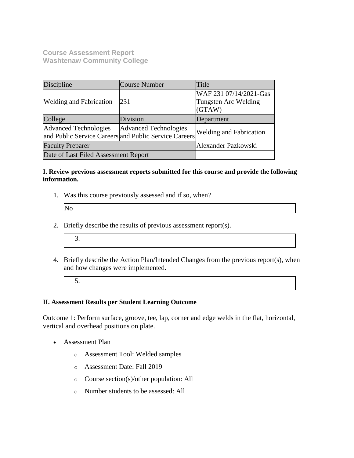**Course Assessment Report Washtenaw Community College**

| Discipline                                                                                                            | <b>Course Number</b> | Title                                                    |
|-----------------------------------------------------------------------------------------------------------------------|----------------------|----------------------------------------------------------|
| <b>Welding and Fabrication</b>                                                                                        | 231                  | WAF 231 07/14/2021-Gas<br>Tungsten Arc Welding<br>(GTAW) |
| College                                                                                                               | Division             | Department                                               |
| <b>Advanced Technologies</b><br><b>Advanced Technologies</b><br>and Public Service Careers and Public Service Careers |                      | <b>Welding and Fabrication</b>                           |
| <b>Faculty Preparer</b>                                                                                               | Alexander Pazkowski  |                                                          |
| Date of Last Filed Assessment Report                                                                                  |                      |                                                          |

## **I. Review previous assessment reports submitted for this course and provide the following information.**

1. Was this course previously assessed and if so, when?

| No |  |  |
|----|--|--|
|    |  |  |

- 2. Briefly describe the results of previous assessment report(s).
	- 3.
- 4. Briefly describe the Action Plan/Intended Changes from the previous report(s), when and how changes were implemented.
	- 5.

#### **II. Assessment Results per Student Learning Outcome**

Outcome 1: Perform surface, groove, tee, lap, corner and edge welds in the flat, horizontal, vertical and overhead positions on plate.

- Assessment Plan
	- o Assessment Tool: Welded samples
	- o Assessment Date: Fall 2019
	- o Course section(s)/other population: All
	- o Number students to be assessed: All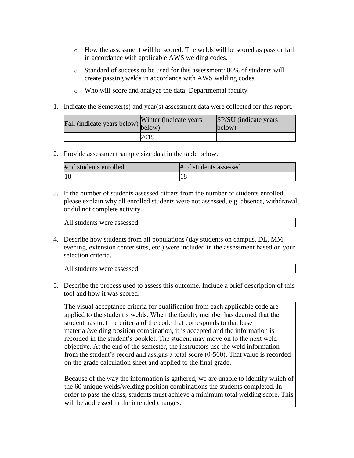- o How the assessment will be scored: The welds will be scored as pass or fail in accordance with applicable AWS welding codes.
- o Standard of success to be used for this assessment: 80% of students will create passing welds in accordance with AWS welding codes.
- o Who will score and analyze the data: Departmental faculty
- 1. Indicate the Semester(s) and year(s) assessment data were collected for this report.

| Fall (indicate years below) below) | Winter (indicate years) | SP/SU (indicate years)<br>below) |
|------------------------------------|-------------------------|----------------------------------|
|                                    | 2019                    |                                  |

2. Provide assessment sample size data in the table below.

| # of students enrolled | # of students assessed |
|------------------------|------------------------|
|                        |                        |

3. If the number of students assessed differs from the number of students enrolled, please explain why all enrolled students were not assessed, e.g. absence, withdrawal, or did not complete activity.

4. Describe how students from all populations (day students on campus, DL, MM, evening, extension center sites, etc.) were included in the assessment based on your selection criteria.

All students were assessed.

5. Describe the process used to assess this outcome. Include a brief description of this tool and how it was scored.

The visual acceptance criteria for qualification from each applicable code are applied to the student's welds. When the faculty member has deemed that the student has met the criteria of the code that corresponds to that base material/welding position combination, it is accepted and the information is recorded in the student's booklet. The student may move on to the next weld objective. At the end of the semester, the instructors use the weld information from the student's record and assigns a total score (0-500). That value is recorded on the grade calculation sheet and applied to the final grade.

Because of the way the information is gathered, we are unable to identify which of the 60 unique welds/welding position combinations the students completed. In order to pass the class, students must achieve a minimum total welding score. This will be addressed in the intended changes.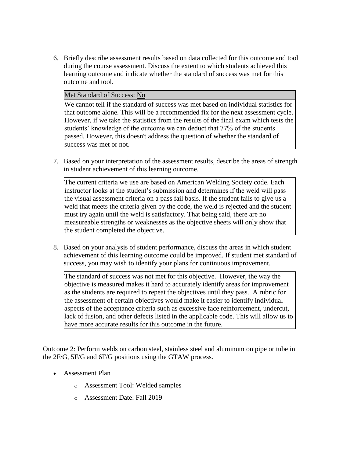6. Briefly describe assessment results based on data collected for this outcome and tool during the course assessment. Discuss the extent to which students achieved this learning outcome and indicate whether the standard of success was met for this outcome and tool.

#### Met Standard of Success: No

We cannot tell if the standard of success was met based on individual statistics for that outcome alone. This will be a recommended fix for the next assessment cycle. However, if we take the statistics from the results of the final exam which tests the students' knowledge of the outcome we can deduct that 77% of the students passed. However, this doesn't address the question of whether the standard of success was met or not.

7. Based on your interpretation of the assessment results, describe the areas of strength in student achievement of this learning outcome.

The current criteria we use are based on American Welding Society code. Each instructor looks at the student's submission and determines if the weld will pass the visual assessment criteria on a pass fail basis. If the student fails to give us a weld that meets the criteria given by the code, the weld is rejected and the student must try again until the weld is satisfactory. That being said, there are no measureable strengths or weaknesses as the objective sheets will only show that the student completed the objective.

8. Based on your analysis of student performance, discuss the areas in which student achievement of this learning outcome could be improved. If student met standard of success, you may wish to identify your plans for continuous improvement.

The standard of success was not met for this objective. However, the way the objective is measured makes it hard to accurately identify areas for improvement as the students are required to repeat the objectives until they pass. A rubric for the assessment of certain objectives would make it easier to identify individual aspects of the acceptance criteria such as excessive face reinforcement, undercut, lack of fusion, and other defects listed in the applicable code. This will allow us to have more accurate results for this outcome in the future.

Outcome 2: Perform welds on carbon steel, stainless steel and aluminum on pipe or tube in the 2F/G, 5F/G and 6F/G positions using the GTAW process.

- Assessment Plan
	- o Assessment Tool: Welded samples
	- o Assessment Date: Fall 2019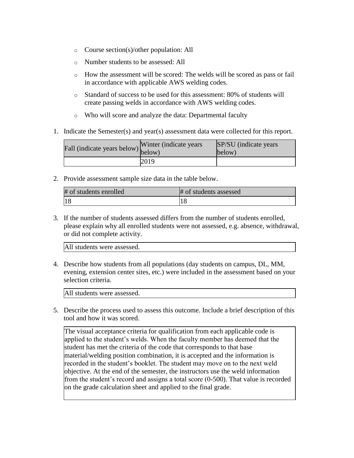- o Course section(s)/other population: All
- o Number students to be assessed: All
- o How the assessment will be scored: The welds will be scored as pass or fail in accordance with applicable AWS welding codes.
- o Standard of success to be used for this assessment: 80% of students will create passing welds in accordance with AWS welding codes.
- o Who will score and analyze the data: Departmental faculty
- 1. Indicate the Semester(s) and year(s) assessment data were collected for this report.

| Fall (indicate years below) below) | Winter (indicate years) | SP/SU (indicate years)<br>below) |
|------------------------------------|-------------------------|----------------------------------|
|                                    | 2019                    |                                  |

2. Provide assessment sample size data in the table below.

| # of students enrolled | # of students assessed |
|------------------------|------------------------|
| 18                     |                        |

3. If the number of students assessed differs from the number of students enrolled, please explain why all enrolled students were not assessed, e.g. absence, withdrawal, or did not complete activity.

All students were assessed.

4. Describe how students from all populations (day students on campus, DL, MM, evening, extension center sites, etc.) were included in the assessment based on your selection criteria.

All students were assessed.

5. Describe the process used to assess this outcome. Include a brief description of this tool and how it was scored.

The visual acceptance criteria for qualification from each applicable code is applied to the student's welds. When the faculty member has deemed that the student has met the criteria of the code that corresponds to that base material/welding position combination, it is accepted and the information is recorded in the student's booklet. The student may move on to the next weld objective. At the end of the semester, the instructors use the weld information from the student's record and assigns a total score (0-500). That value is recorded on the grade calculation sheet and applied to the final grade.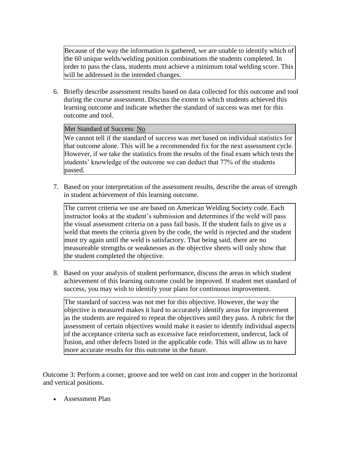Because of the way the information is gathered, we are unable to identify which of the 60 unique welds/welding position combinations the students completed. In order to pass the class, students must achieve a minimum total welding score. This will be addressed in the intended changes.

6. Briefly describe assessment results based on data collected for this outcome and tool during the course assessment. Discuss the extent to which students achieved this learning outcome and indicate whether the standard of success was met for this outcome and tool.

## Met Standard of Success: No

We cannot tell if the standard of success was met based on individual statistics for that outcome alone. This will be a recommended fix for the next assessment cycle. However, if we take the statistics from the results of the final exam which tests the students' knowledge of the outcome we can deduct that 77% of the students passed.

7. Based on your interpretation of the assessment results, describe the areas of strength in student achievement of this learning outcome.

The current criteria we use are based on American Welding Society code. Each instructor looks at the student's submission and determines if the weld will pass the visual assessment criteria on a pass fail basis. If the student fails to give us a weld that meets the criteria given by the code, the weld is rejected and the student must try again until the weld is satisfactory. That being said, there are no measureable strengths or weaknesses as the objective sheets will only show that the student completed the objective.

8. Based on your analysis of student performance, discuss the areas in which student achievement of this learning outcome could be improved. If student met standard of success, you may wish to identify your plans for continuous improvement.

The standard of success was not met for this objective. However, the way the objective is measured makes it hard to accurately identify areas for improvement as the students are required to repeat the objectives until they pass. A rubric for the assessment of certain objectives would make it easier to identify individual aspects of the acceptance criteria such as excessive face reinforcement, undercut, lack of fusion, and other defects listed in the applicable code. This will allow us to have more accurate results for this outcome in the future.

Outcome 3: Perform a corner, groove and tee weld on cast iron and copper in the horizontal and vertical positions.

Assessment Plan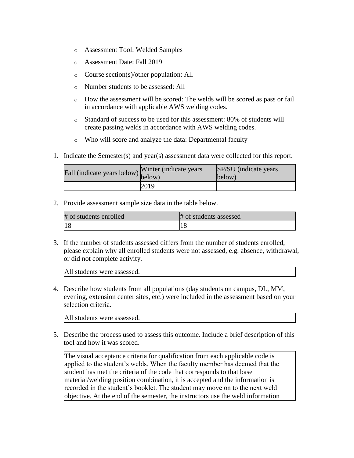- o Assessment Tool: Welded Samples
- o Assessment Date: Fall 2019
- o Course section(s)/other population: All
- o Number students to be assessed: All
- o How the assessment will be scored: The welds will be scored as pass or fail in accordance with applicable AWS welding codes.
- o Standard of success to be used for this assessment: 80% of students will create passing welds in accordance with AWS welding codes.
- o Who will score and analyze the data: Departmental faculty
- 1. Indicate the Semester(s) and year(s) assessment data were collected for this report.

| rall (indicate years below) below) | Winter (indicate years) | SP/SU (indicate years)<br>below) |
|------------------------------------|-------------------------|----------------------------------|
|                                    | 2019                    |                                  |

2. Provide assessment sample size data in the table below.

| # of students enrolled | # of students assessed |
|------------------------|------------------------|
|                        |                        |

3. If the number of students assessed differs from the number of students enrolled, please explain why all enrolled students were not assessed, e.g. absence, withdrawal, or did not complete activity.

All students were assessed.

4. Describe how students from all populations (day students on campus, DL, MM, evening, extension center sites, etc.) were included in the assessment based on your selection criteria.

All students were assessed.

5. Describe the process used to assess this outcome. Include a brief description of this tool and how it was scored.

The visual acceptance criteria for qualification from each applicable code is applied to the student's welds. When the faculty member has deemed that the student has met the criteria of the code that corresponds to that base material/welding position combination, it is accepted and the information is recorded in the student's booklet. The student may move on to the next weld objective. At the end of the semester, the instructors use the weld information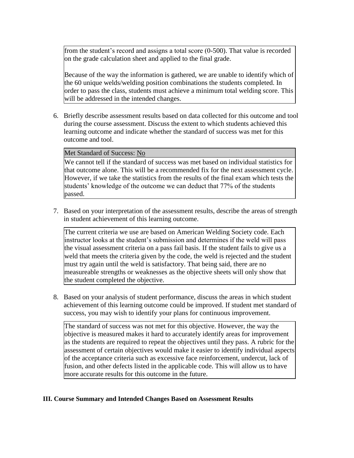from the student's record and assigns a total score (0-500). That value is recorded on the grade calculation sheet and applied to the final grade.

Because of the way the information is gathered, we are unable to identify which of the 60 unique welds/welding position combinations the students completed. In order to pass the class, students must achieve a minimum total welding score. This will be addressed in the intended changes.

6. Briefly describe assessment results based on data collected for this outcome and tool during the course assessment. Discuss the extent to which students achieved this learning outcome and indicate whether the standard of success was met for this outcome and tool.

Met Standard of Success: No

We cannot tell if the standard of success was met based on individual statistics for that outcome alone. This will be a recommended fix for the next assessment cycle. However, if we take the statistics from the results of the final exam which tests the students' knowledge of the outcome we can deduct that 77% of the students passed.

7. Based on your interpretation of the assessment results, describe the areas of strength in student achievement of this learning outcome.

The current criteria we use are based on American Welding Society code. Each instructor looks at the student's submission and determines if the weld will pass the visual assessment criteria on a pass fail basis. If the student fails to give us a weld that meets the criteria given by the code, the weld is rejected and the student must try again until the weld is satisfactory. That being said, there are no measureable strengths or weaknesses as the objective sheets will only show that the student completed the objective.

8. Based on your analysis of student performance, discuss the areas in which student achievement of this learning outcome could be improved. If student met standard of success, you may wish to identify your plans for continuous improvement.

The standard of success was not met for this objective. However, the way the objective is measured makes it hard to accurately identify areas for improvement as the students are required to repeat the objectives until they pass. A rubric for the assessment of certain objectives would make it easier to identify individual aspects of the acceptance criteria such as excessive face reinforcement, undercut, lack of fusion, and other defects listed in the applicable code. This will allow us to have more accurate results for this outcome in the future.

## **III. Course Summary and Intended Changes Based on Assessment Results**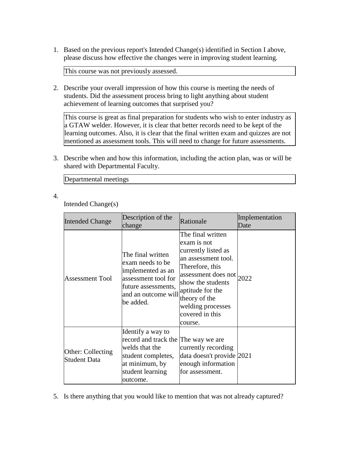1. Based on the previous report's Intended Change(s) identified in Section I above, please discuss how effective the changes were in improving student learning.

This course was not previously assessed.

2. Describe your overall impression of how this course is meeting the needs of students. Did the assessment process bring to light anything about student achievement of learning outcomes that surprised you?

This course is great as final preparation for students who wish to enter industry as a GTAW welder. However, it is clear that better records need to be kept of the learning outcomes. Also, it is clear that the final written exam and quizzes are not mentioned as assessment tools. This will need to change for future assessments.

3. Describe when and how this information, including the action plan, was or will be shared with Departmental Faculty.

Departmental meetings

4.

Intended Change(s)

| <b>Intended Change</b>                   | Description of the<br>change                                                                                                                       | Rationale                                                                                                                                                                                                                             | Implementation<br>Date |
|------------------------------------------|----------------------------------------------------------------------------------------------------------------------------------------------------|---------------------------------------------------------------------------------------------------------------------------------------------------------------------------------------------------------------------------------------|------------------------|
| <b>Assessment Tool</b>                   | The final written<br>exam needs to be<br>implemented as an<br>assessment tool for<br>future assessments,<br>and an outcome will<br>be added.       | The final written<br>exam is not<br>currently listed as<br>an assessment tool.<br>Therefore, this<br>assessment does not<br>show the students<br>aptitude for the<br>theory of the<br>welding processes<br>covered in this<br>course. | 2022                   |
| Other: Collecting<br><b>Student Data</b> | Identify a way to<br>record and track the The way we are<br>welds that the<br>student completes,<br>at minimum, by<br>student learning<br>outcome. | currently recording<br>data doesn't provide 2021<br>enough information<br>for assessment.                                                                                                                                             |                        |

5. Is there anything that you would like to mention that was not already captured?